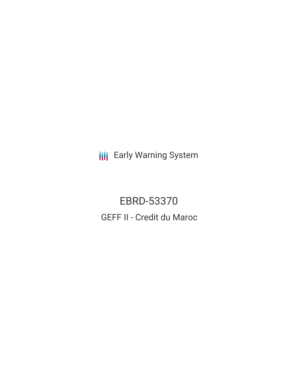**III** Early Warning System

EBRD-53370 GEFF II - Credit du Maroc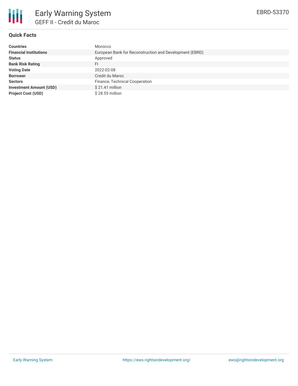

# **Quick Facts**

| <b>Countries</b>               | Morocco                                                 |
|--------------------------------|---------------------------------------------------------|
| <b>Financial Institutions</b>  | European Bank for Reconstruction and Development (EBRD) |
| <b>Status</b>                  | Approved                                                |
| <b>Bank Risk Rating</b>        | FI                                                      |
| <b>Voting Date</b>             | 2022-02-08                                              |
| <b>Borrower</b>                | Credit du Maroc                                         |
| <b>Sectors</b>                 | Finance, Technical Cooperation                          |
| <b>Investment Amount (USD)</b> | $$21.41$ million                                        |
| <b>Project Cost (USD)</b>      | $$28.55$ million                                        |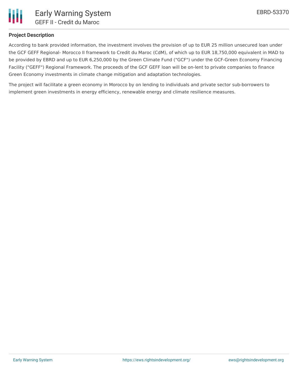

### **Project Description**

According to bank provided information, the investment involves the provision of up to EUR 25 million unsecured loan under the GCF GEFF Regional- Morocco II framework to Credit du Maroc (CdM), of which up to EUR 18,750,000 equivalent in MAD to be provided by EBRD and up to EUR 6,250,000 by the Green Climate Fund ("GCF") under the GCF-Green Economy Financing Facility ("GEFF") Regional Framework. The proceeds of the GCF GEFF loan will be on-lent to private companies to finance Green Economy investments in climate change mitigation and adaptation technologies.

The project will facilitate a green economy in Morocco by on lending to individuals and private sector sub-borrowers to implement green investments in energy efficiency, renewable energy and climate resilience measures.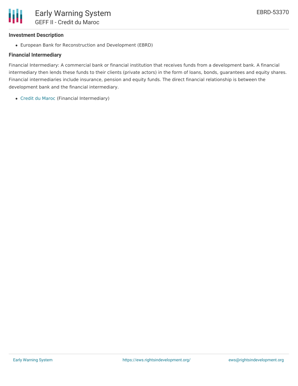## **Investment Description**

European Bank for Reconstruction and Development (EBRD)

### **Financial Intermediary**

Financial Intermediary: A commercial bank or financial institution that receives funds from a development bank. A financial intermediary then lends these funds to their clients (private actors) in the form of loans, bonds, guarantees and equity shares. Financial intermediaries include insurance, pension and equity funds. The direct financial relationship is between the development bank and the financial intermediary.

Credit du [Maroc](file:///actor/7613/) (Financial Intermediary)